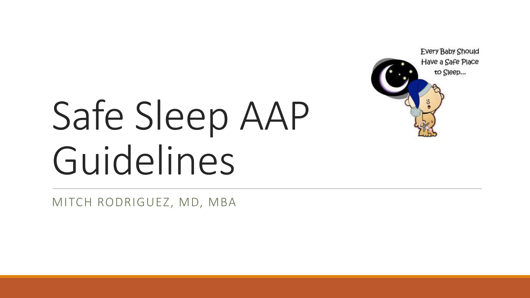

# Safe Sleep AAP Guidelines

MITCH RODRIGUEZ, MD, MBA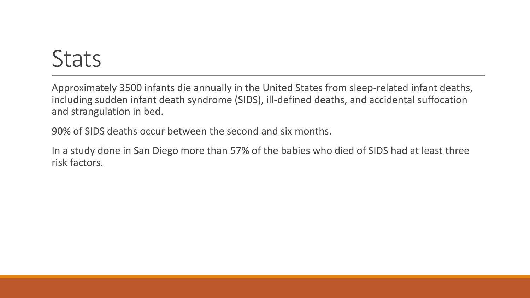## **Stats**

Approximately 3500 infants die annually in the United States from sleep-related infant deaths, including sudden infant death syndrome (SIDS), ill-defined deaths, and accidental suffocation and strangulation in bed.

90% of SIDS deaths occur between the second and six months.

In a study done in San Diego more than 57% of the babies who died of SIDS had at least three risk factors.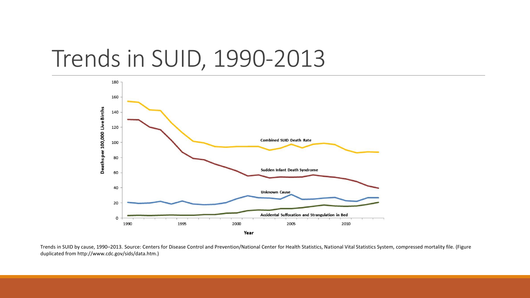#### Trends in SUID, 1990-2013



Trends in SUID by cause, 1990–2013. Source: Centers for Disease Control and Prevention/National Center for Health Statistics, National Vital Statistics System, compressed mortality file. (Figure duplicated from http://www.cdc.gov/sids/data.htm.)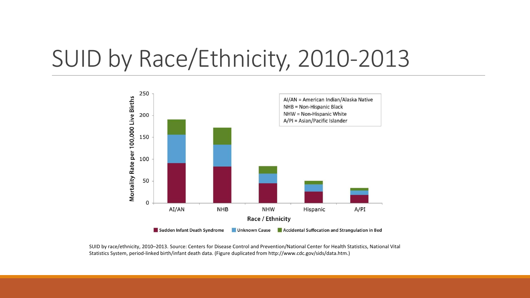# SUID by Race/Ethnicity, 2010-2013



SUID by race/ethnicity, 2010–2013. Source: Centers for Disease Control and Prevention/National Center for Health Statistics, National Vital Statistics System, period-linked birth/infant death data. (Figure duplicated from http://www.cdc.gov/sids/data.htm.)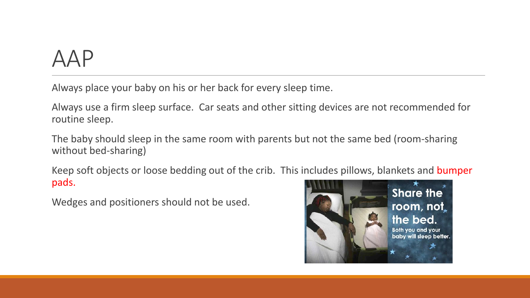## AAP

Always place your baby on his or her back for every sleep time.

Always use a firm sleep surface. Car seats and other sitting devices are not recommended for routine sleep.

The baby should sleep in the same room with parents but not the same bed (room-sharing without bed-sharing)

Keep soft objects or loose bedding out of the crib. This includes pillows, blankets and bumper pads.

Wedges and positioners should not be used.

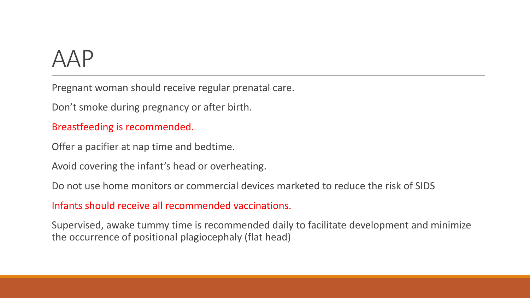# AAP

Pregnant woman should receive regular prenatal care.

Don't smoke during pregnancy or after birth.

#### Breastfeeding is recommended.

Offer a pacifier at nap time and bedtime.

Avoid covering the infant's head or overheating.

Do not use home monitors or commercial devices marketed to reduce the risk of SIDS

Infants should receive all recommended vaccinations.

Supervised, awake tummy time is recommended daily to facilitate development and minimize the occurrence of positional plagiocephaly (flat head)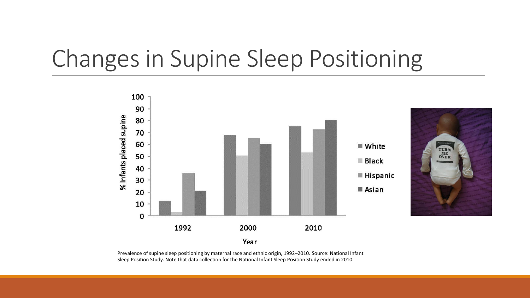# Changes in Supine Sleep Positioning



Prevalence of supine sleep positioning by maternal race and ethnic origin, 1992–2010. Source: National Infant Sleep Position Study. Note that data collection for the National Infant Sleep Position Study ended in 2010.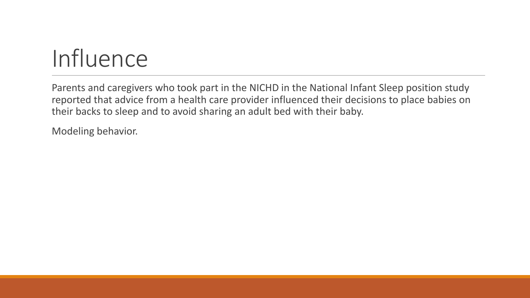# **Influence**

Parents and caregivers who took part in the NICHD in the National Infant Sleep position study reported that advice from a health care provider influenced their decisions to place babies on their backs to sleep and to avoid sharing an adult bed with their baby.

Modeling behavior.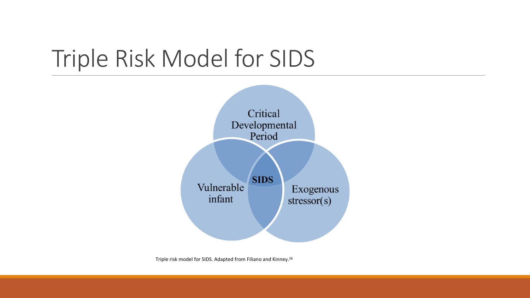# Triple Risk Model for SIDS



Triple risk model for SIDS. Adapted from Filiano and Kinney.<sup>26</sup>